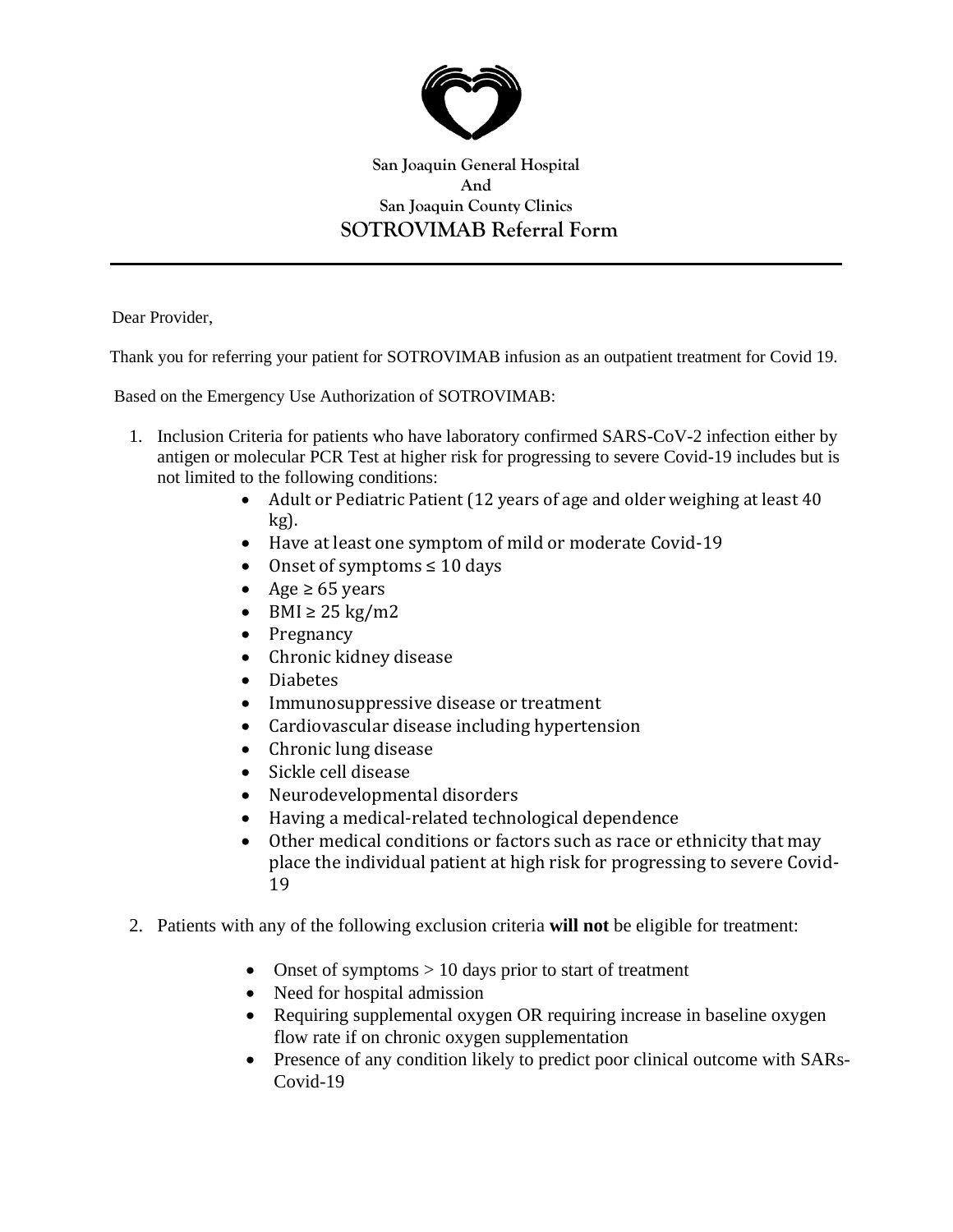

## **San Joaquin General Hospital And San Joaquin County Clinics SOTROVIMAB Referral Form**

Dear Provider,

Thank you for referring your patient for SOTROVIMAB infusion as an outpatient treatment for Covid 19.

Based on the Emergency Use Authorization of SOTROVIMAB:

- 1. Inclusion Criteria for patients who have laboratory confirmed SARS-CoV-2 infection either by antigen or molecular PCR Test at higher risk for progressing to severe Covid-19 includes but is not limited to the following conditions:
	- Adult or Pediatric Patient (12 years of age and older weighing at least 40 kg).
	- Have at least one symptom of mild or moderate Covid-19
	- Onset of symptoms  $\leq 10$  days
	- Age  $\geq 65$  years
	- BMI  $\geq$  25 kg/m2
	- Pregnancy
	- Chronic kidney disease
	- Diabetes
	- Immunosuppressive disease or treatment
	- Cardiovascular disease including hypertension
	- Chronic lung disease
	- Sickle cell disease
	- Neurodevelopmental disorders
	- Having a medical-related technological dependence
	- Other medical conditions or factors such as race or ethnicity that may place the individual patient at high risk for progressing to severe Covid-19
- 2. Patients with any of the following exclusion criteria **will not** be eligible for treatment:
	- Onset of symptoms > 10 days prior to start of treatment
	- Need for hospital admission
	- Requiring supplemental oxygen OR requiring increase in baseline oxygen flow rate if on chronic oxygen supplementation
	- Presence of any condition likely to predict poor clinical outcome with SARs-Covid-19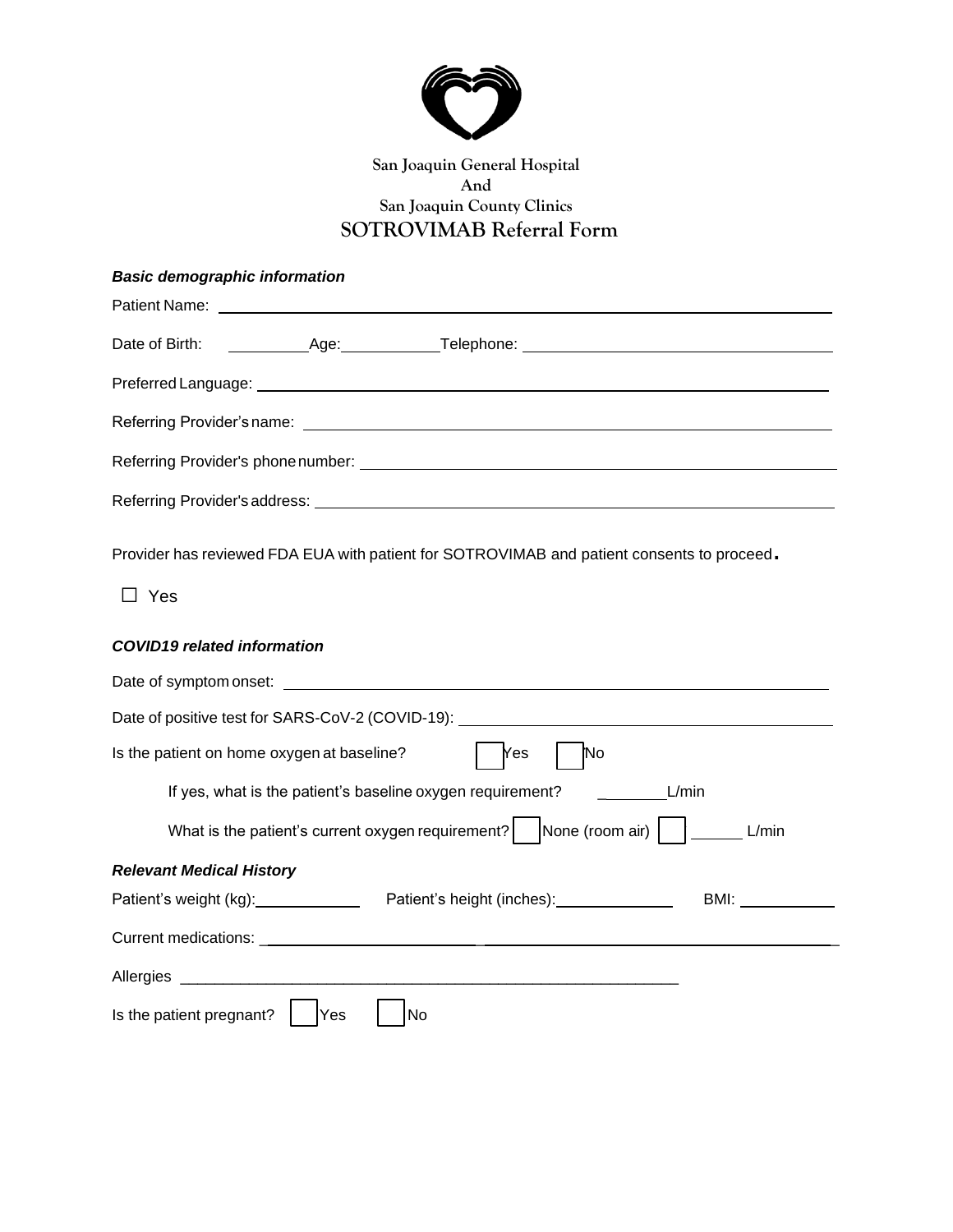

# **San Joaquin General Hospital And San Joaquin County Clinics SOTROVIMAB Referral Form**

## *Basic demographic information*

Provider has reviewed FDA EUA with patient for SOTROVIMAB and patient consents to proceed.

□ Yes

#### *COVID19 related information*

| Date of symptom onset: example and a set of symptom on set:                                                                                                                               |
|-------------------------------------------------------------------------------------------------------------------------------------------------------------------------------------------|
| Date of positive test for SARS-CoV-2 (COVID-19):                                                                                                                                          |
| Is the patient on home oxygen at baseline?<br>'es<br>ſΝo                                                                                                                                  |
| If yes, what is the patient's baseline oxygen requirement?<br>L/min                                                                                                                       |
| What is the patient's current oxygen requirement?   None (room air)    _____<br>L/min                                                                                                     |
| <b>Relevant Medical History</b>                                                                                                                                                           |
| Patient's weight (kg): _____________<br>Patient's height (inches): 2000<br>BMI: and a series of the series of the series of the series of the series of the series of the series of the s |
|                                                                                                                                                                                           |
|                                                                                                                                                                                           |
| Is the patient pregnant?<br>Yes<br>No                                                                                                                                                     |